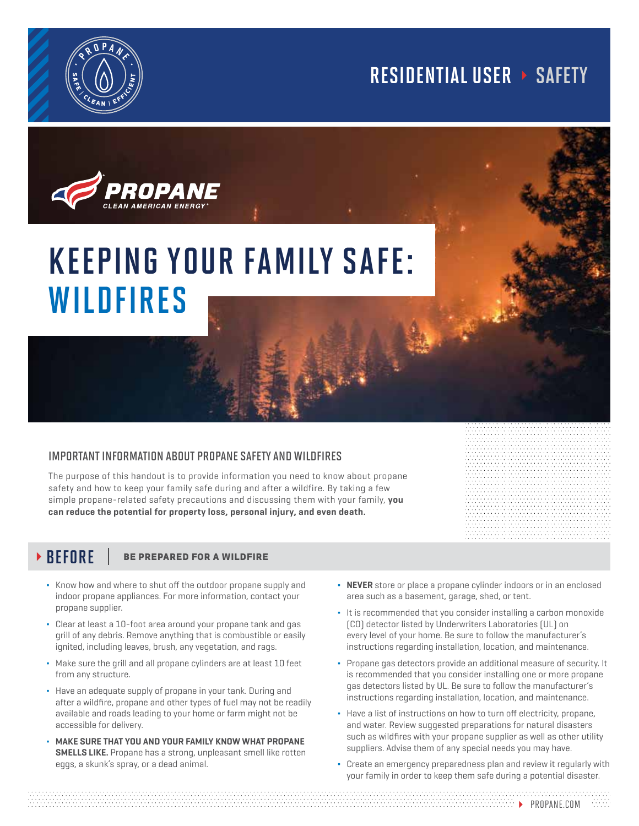

## RESIDENTIAL USER > SAFETY



# KEEPING YOUR FAMILY SAFE: WILDFIRES

### important information about propane safety and wildfires

The purpose of this handout is to provide information you need to know about propane safety and how to keep your family safe during and after a wildfire. By taking a few simple propane-related safety precautions and discussing them with your family, **you can reduce the potential for property loss, personal injury, and even death.**

## $\triangleright$  BEFORE  $\vert$  be prepared for a wildfire

- Know how and where to shut off the outdoor propane supply and indoor propane appliances. For more information, contact your propane supplier.
- Clear at least a 10-foot area around your propane tank and gas grill of any debris. Remove anything that is combustible or easily ignited, including leaves, brush, any vegetation, and rags.
- Make sure the grill and all propane cylinders are at least 10 feet from any structure.
- Have an adequate supply of propane in your tank. During and after a wildfire, propane and other types of fuel may not be readily available and roads leading to your home or farm might not be accessible for delivery.
- **MAKE SURE THAT YOU AND YOUR FAMILY KNOW WHAT PROPANE SMELLS LIKE.** Propane has a strong, unpleasant smell like rotten eggs, a skunk's spray, or a dead animal.
- **NEVER** store or place a propane cylinder indoors or in an enclosed area such as a basement, garage, shed, or tent.
- It is recommended that you consider installing a carbon monoxide (CO) detector listed by Underwriters Laboratories (UL) on every level of your home. Be sure to follow the manufacturer's instructions regarding installation, location, and maintenance.
- Propane gas detectors provide an additional measure of security. It is recommended that you consider installing one or more propane gas detectors listed by UL. Be sure to follow the manufacturer's instructions regarding installation, location, and maintenance.
- Have a list of instructions on how to turn off electricity, propane, and water. Review suggested preparations for natural disasters such as wildfires with your propane supplier as well as other utility suppliers. Advise them of any special needs you may have.
- Create an emergency preparedness plan and review it regularly with your family in order to keep them safe during a potential disaster.